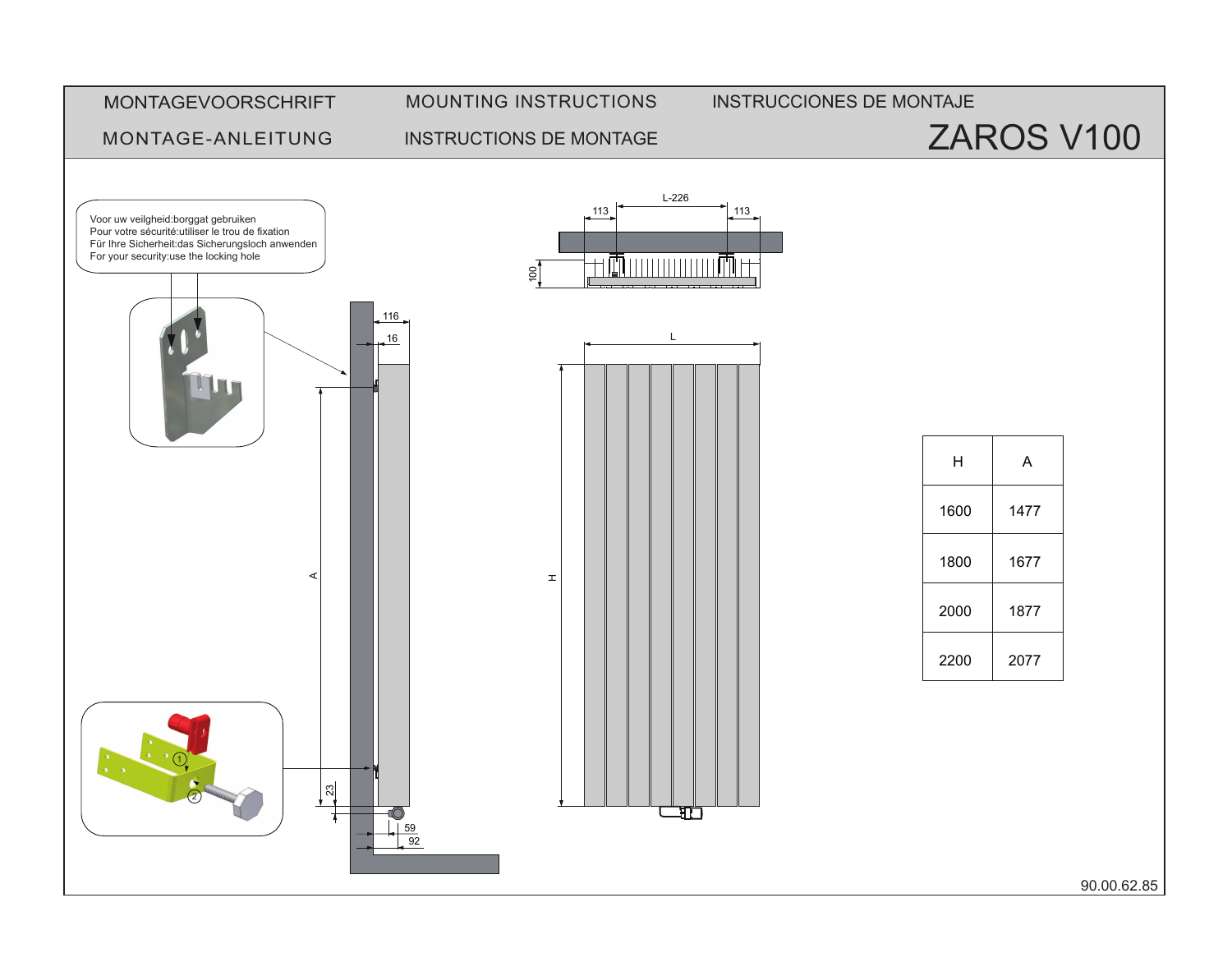